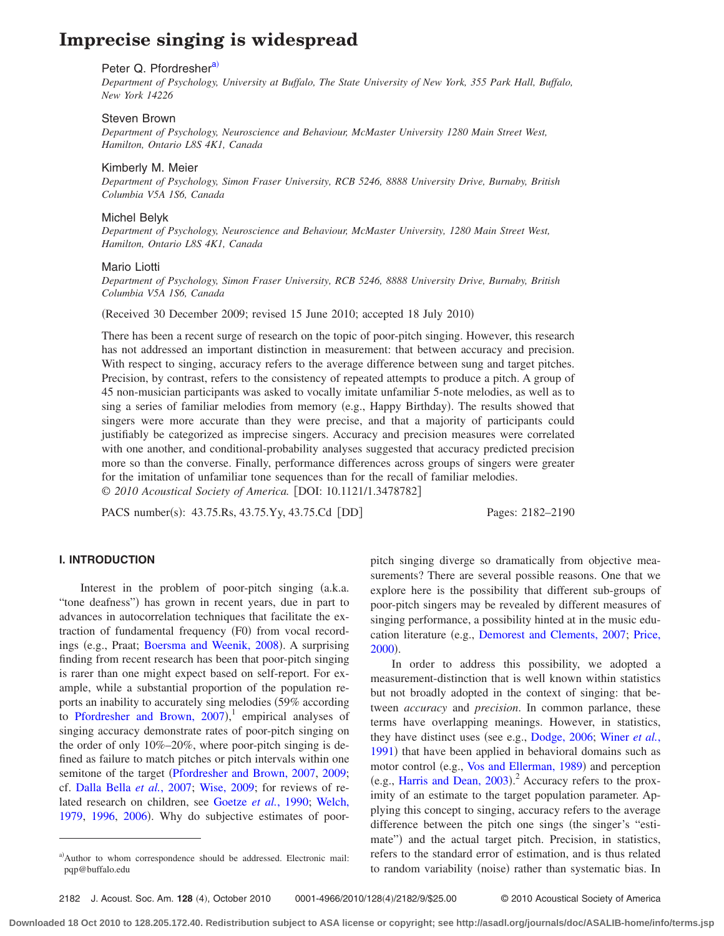# **Imprecise singing is widespread**

### Peter Q. Pfordresher<sup>a)</sup>

*Department of Psychology, University at Buffalo, The State University of New York, 355 Park Hall, Buffalo, New York 14226*

# Steven Brown

*Department of Psychology, Neuroscience and Behaviour, McMaster University 1280 Main Street West, Hamilton, Ontario L8S 4K1, Canada*

#### Kimberly M. Meier

*Department of Psychology, Simon Fraser University, RCB 5246, 8888 University Drive, Burnaby, British Columbia V5A 1S6, Canada*

#### Michel Belyk

*Department of Psychology, Neuroscience and Behaviour, McMaster University, 1280 Main Street West, Hamilton, Ontario L8S 4K1, Canada*

#### Mario Liotti

*Department of Psychology, Simon Fraser University, RCB 5246, 8888 University Drive, Burnaby, British Columbia V5A 1S6, Canada*

(Received 30 December 2009; revised 15 June 2010; accepted 18 July 2010)

There has been a recent surge of research on the topic of poor-pitch singing. However, this research has not addressed an important distinction in measurement: that between accuracy and precision. With respect to singing, accuracy refers to the average difference between sung and target pitches. Precision, by contrast, refers to the consistency of repeated attempts to produce a pitch. A group of 45 non-musician participants was asked to vocally imitate unfamiliar 5-note melodies, as well as to sing a series of familiar melodies from memory (e.g., Happy Birthday). The results showed that singers were more accurate than they were precise, and that a majority of participants could justifiably be categorized as imprecise singers. Accuracy and precision measures were correlated with one another, and conditional-probability analyses suggested that accuracy predicted precision more so than the converse. Finally, performance differences across groups of singers were greater for the imitation of unfamiliar tone sequences than for the recall of familiar melodies. © *2010 Acoustical Society of America.* DOI: 10.1121/1.3478782

PACS number(s): 43.75.Rs, 43.75.Yy, 43.75.Cd [DD] Pages: 2182–2190

# **I. INTRODUCTION**

Interest in the problem of poor-pitch singing (a.k.a. "tone deafness") has grown in recent years, due in part to advances in autocorrelation techniques that facilitate the extraction of fundamental frequency (F0) from vocal record-ings (e.g., Praat; [Boersma and Weenik, 2008](#page-8-0)). A surprising finding from recent research has been that poor-pitch singing is rarer than one might expect based on self-report. For example, while a substantial proportion of the population reports an inability to accurately sing melodies (59% according to Pfordresher and Brown,  $2007$ ,<sup>1</sup> empirical analyses of singing accuracy demonstrate rates of poor-pitch singing on the order of only 10%–20%, where poor-pitch singing is defined as failure to match pitches or pitch intervals within one semitone of the target ([Pfordresher and Brown, 2007,](#page-8-1) [2009;](#page-8-2) cf. [Dalla Bella](#page-8-3) *et al.*, 2007; [Wise, 2009;](#page-8-4) for reviews of related research on children, see [Goetze](#page-8-5) *et al.*, 1990; [Welch,](#page-8-6) [1979,](#page-8-6) [1996,](#page-8-7) [2006](#page-8-8)). Why do subjective estimates of poorpitch singing diverge so dramatically from objective measurements? There are several possible reasons. One that we explore here is the possibility that different sub-groups of poor-pitch singers may be revealed by different measures of singing performance, a possibility hinted at in the music edu-cation literature (e.g., [Demorest and Clements, 2007;](#page-8-9) [Price,](#page-8-10) [2000](#page-8-10)).

In order to address this possibility, we adopted a measurement-distinction that is well known within statistics but not broadly adopted in the context of singing: that between *accuracy* and *precision*. In common parlance, these terms have overlapping meanings. However, in statistics, they have distinct uses (see e.g., [Dodge, 2006;](#page-8-11) [Winer](#page-8-12) *et al.*, [1991](#page-8-12)) that have been applied in behavioral domains such as motor control (e.g., [Vos and Ellerman, 1989](#page-8-13)) and perception (e.g., [Harris and Dean, 2003](#page-8-14)).<sup>2</sup> Accuracy refers to the proximity of an estimate to the target population parameter. Applying this concept to singing, accuracy refers to the average difference between the pitch one sings (the singer's "estimate") and the actual target pitch. Precision, in statistics, refers to the standard error of estimation, and is thus related to random variability (noise) rather than systematic bias. In

2182 J. Acoust. Soc. Am. 128 (4), October 2010

```
4), October 2010    0001-4966/2010/128(4)/2182/9/$25.00      © 2010 Acoustical Society of America
```
<span id="page-0-0"></span>a)Author to whom correspondence should be addressed. Electronic mail: pqp@buffalo.edu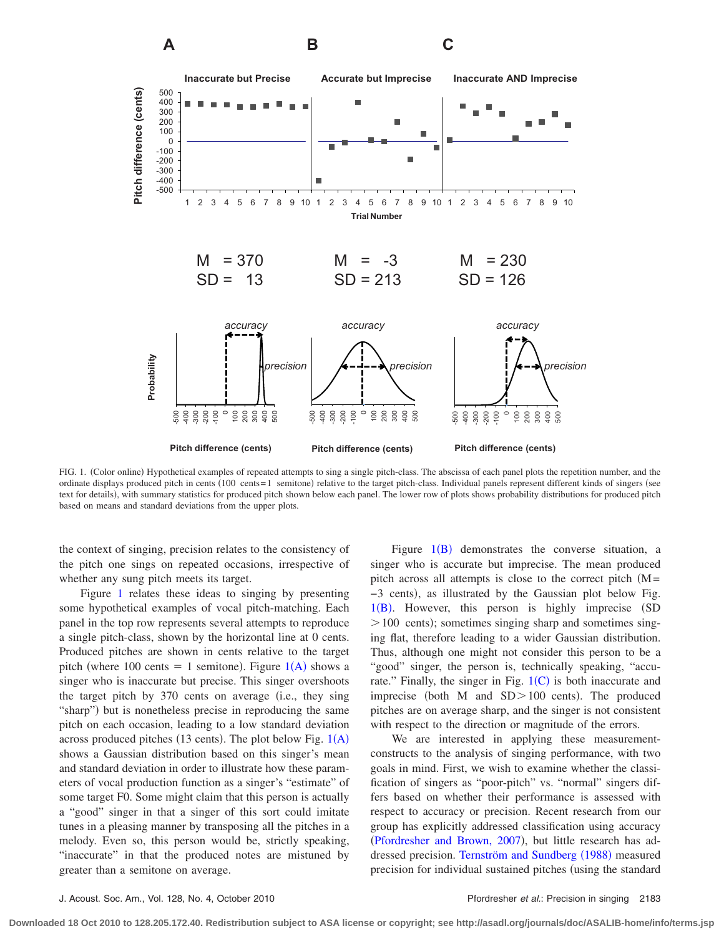<span id="page-1-0"></span>

FIG. 1. (Color online) Hypothetical examples of repeated attempts to sing a single pitch-class. The abscissa of each panel plots the repetition number, and the ordinate displays produced pitch in cents (100 cents=1 semitone) relative to the target pitch-class. Individual panels represent different kinds of singers (see text for details), with summary statistics for produced pitch shown below each panel. The lower row of plots shows probability distributions for produced pitch based on means and standard deviations from the upper plots.

the context of singing, precision relates to the consistency of the pitch one sings on repeated occasions, irrespective of whether any sung pitch meets its target.

Figure [1](#page-1-0) relates these ideas to singing by presenting some hypothetical examples of vocal pitch-matching. Each panel in the top row represents several attempts to reproduce a single pitch-class, shown by the horizontal line at 0 cents. Produced pitches are shown in cents relative to the target pitch (where 100 cents = 1 semitone). Figure  $1(A)$  $1(A)$  $1(A)$  shows a singer who is inaccurate but precise. This singer overshoots the target pitch by  $370$  cents on average (i.e., they sing "sharp") but is nonetheless precise in reproducing the same pitch on each occasion, leading to a low standard deviation across produced pitches (13 cents). The plot below Fig.  $1(A)$  $1(A)$  $1(A)$ shows a Gaussian distribution based on this singer's mean and standard deviation in order to illustrate how these parameters of vocal production function as a singer's "estimate" of some target F0. Some might claim that this person is actually a "good" singer in that a singer of this sort could imitate tunes in a pleasing manner by transposing all the pitches in a melody. Even so, this person would be, strictly speaking, "inaccurate" in that the produced notes are mistuned by greater than a semitone on average.

Figure  $1(B)$  $1(B)$  $1(B)$  demonstrates the converse situation, a singer who is accurate but imprecise. The mean produced pitch across all attempts is close to the correct pitch  $(M=$ -3 cents), as illustrated by the Gaussian plot below Fig. 1([B](#page-1-0)). However, this person is highly imprecise (SD > 100 cents); sometimes singing sharp and sometimes singing flat, therefore leading to a wider Gaussian distribution. Thus, although one might not consider this person to be a "good" singer, the person is, technically speaking, "accurate." Finally, the singer in Fig.  $1(C)$  $1(C)$  $1(C)$  is both inaccurate and imprecise (both M and  $SD > 100$  cents). The produced pitches are on average sharp, and the singer is not consistent with respect to the direction or magnitude of the errors.

We are interested in applying these measurementconstructs to the analysis of singing performance, with two goals in mind. First, we wish to examine whether the classification of singers as "poor-pitch" vs. "normal" singers differs based on whether their performance is assessed with respect to accuracy or precision. Recent research from our group has explicitly addressed classification using accuracy ([Pfordresher and Brown, 2007](#page-8-1)), but little research has ad-dressed precision. [Ternström and Sundberg](#page-8-15) (1988) measured precision for individual sustained pitches (using the standard

**Downloaded 18 Oct 2010 to 128.205.172.40. Redistribution subject to ASA license or copyright; see http://asadl.org/journals/doc/ASALIB-home/info/terms.jsp**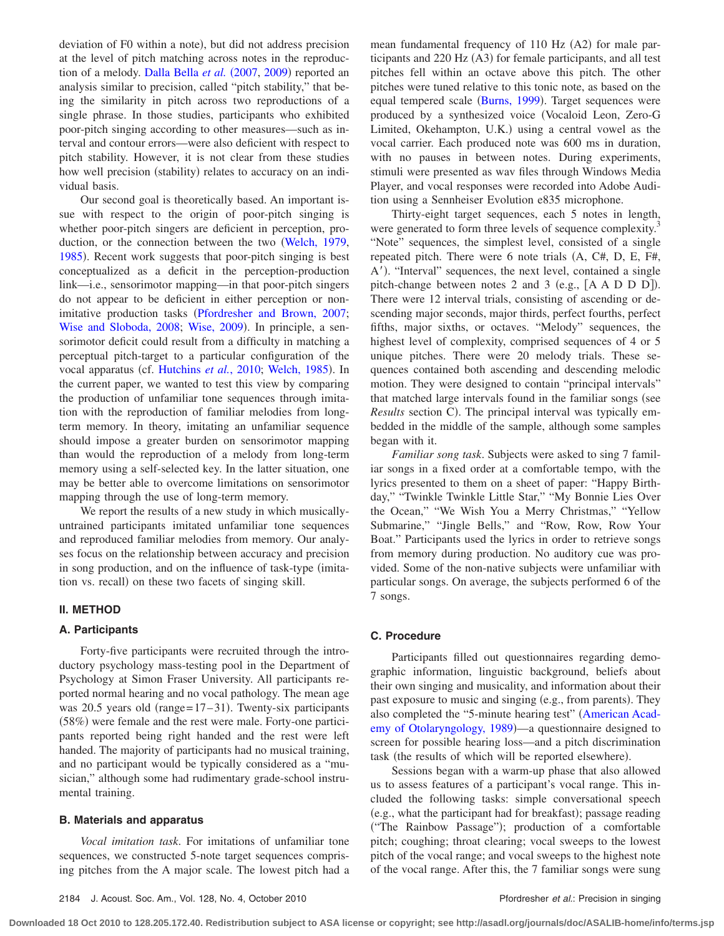deviation of F0 within a note), but did not address precision at the level of pitch matching across notes in the reproduc-tion of a melody. [Dalla Bella](#page-8-3) et al. (2007, [2009](#page-8-16)) reported an analysis similar to precision, called "pitch stability," that being the similarity in pitch across two reproductions of a single phrase. In those studies, participants who exhibited poor-pitch singing according to other measures—such as interval and contour errors—were also deficient with respect to pitch stability. However, it is not clear from these studies how well precision (stability) relates to accuracy on an individual basis.

Our second goal is theoretically based. An important issue with respect to the origin of poor-pitch singing is whether poor-pitch singers are deficient in perception, production, or the connection between the two [Welch, 1979,](#page-8-6) [1985](#page-8-17)). Recent work suggests that poor-pitch singing is best conceptualized as a deficit in the perception-production link—i.e., sensorimotor mapping—in that poor-pitch singers do not appear to be deficient in either perception or non-imitative production tasks ([Pfordresher and Brown, 2007;](#page-8-1) [Wise and Sloboda, 2008;](#page-8-18) [Wise, 2009](#page-8-4)). In principle, a sensorimotor deficit could result from a difficulty in matching a perceptual pitch-target to a particular configuration of the vocal apparatus (cf. [Hutchins](#page-8-19) et al., 2010; [Welch, 1985](#page-8-17)). In the current paper, we wanted to test this view by comparing the production of unfamiliar tone sequences through imitation with the reproduction of familiar melodies from longterm memory. In theory, imitating an unfamiliar sequence should impose a greater burden on sensorimotor mapping than would the reproduction of a melody from long-term memory using a self-selected key. In the latter situation, one may be better able to overcome limitations on sensorimotor mapping through the use of long-term memory.

We report the results of a new study in which musicallyuntrained participants imitated unfamiliar tone sequences and reproduced familiar melodies from memory. Our analyses focus on the relationship between accuracy and precision in song production, and on the influence of task-type (imitation vs. recall) on these two facets of singing skill.

# **II. METHOD**

# **A. Participants**

Forty-five participants were recruited through the introductory psychology mass-testing pool in the Department of Psychology at Simon Fraser University. All participants reported normal hearing and no vocal pathology. The mean age was 20.5 years old (range= 17-31). Twenty-six participants (58%) were female and the rest were male. Forty-one participants reported being right handed and the rest were left handed. The majority of participants had no musical training, and no participant would be typically considered as a "musician," although some had rudimentary grade-school instrumental training.

# **B. Materials and apparatus**

*Vocal imitation task*. For imitations of unfamiliar tone sequences, we constructed 5-note target sequences comprising pitches from the A major scale. The lowest pitch had a

mean fundamental frequency of 110 Hz (A2) for male participants and 220 Hz (A3) for female participants, and all test pitches fell within an octave above this pitch. The other pitches were tuned relative to this tonic note, as based on the equal tempered scale ([Burns, 1999](#page-8-20)). Target sequences were produced by a synthesized voice Vocaloid Leon, Zero-G Limited, Okehampton, U.K.) using a central vowel as the vocal carrier. Each produced note was 600 ms in duration, with no pauses in between notes. During experiments, stimuli were presented as wav files through Windows Media Player, and vocal responses were recorded into Adobe Audition using a Sennheiser Evolution e835 microphone.

Thirty-eight target sequences, each 5 notes in length, were generated to form three levels of sequence complexity.<sup>3</sup> "Note" sequences, the simplest level, consisted of a single repeated pitch. There were  $6$  note trials  $(A, C#, D, E, F#,$ A'). "Interval" sequences, the next level, contained a single pitch-change between notes 2 and 3 (e.g.,  $[A \land D \ D \ D]$ ). There were 12 interval trials, consisting of ascending or descending major seconds, major thirds, perfect fourths, perfect fifths, major sixths, or octaves. "Melody" sequences, the highest level of complexity, comprised sequences of 4 or 5 unique pitches. There were 20 melody trials. These sequences contained both ascending and descending melodic motion. They were designed to contain "principal intervals" that matched large intervals found in the familiar songs (see Results section C). The principal interval was typically embedded in the middle of the sample, although some samples began with it.

*Familiar song task*. Subjects were asked to sing 7 familiar songs in a fixed order at a comfortable tempo, with the lyrics presented to them on a sheet of paper: "Happy Birthday," "Twinkle Twinkle Little Star," "My Bonnie Lies Over the Ocean," "We Wish You a Merry Christmas," "Yellow Submarine," "Jingle Bells," and "Row, Row, Row Your Boat." Participants used the lyrics in order to retrieve songs from memory during production. No auditory cue was provided. Some of the non-native subjects were unfamiliar with particular songs. On average, the subjects performed 6 of the 7 songs.

#### **C. Procedure**

Participants filled out questionnaires regarding demographic information, linguistic background, beliefs about their own singing and musicality, and information about their past exposure to music and singing (e.g., from parents). They also completed the "5-minute hearing test" ([American Acad](#page-8-21)[emy of Otolaryngology, 1989](#page-8-21))—a questionnaire designed to screen for possible hearing loss—and a pitch discrimination task (the results of which will be reported elsewhere).

Sessions began with a warm-up phase that also allowed us to assess features of a participant's vocal range. This included the following tasks: simple conversational speech (e.g., what the participant had for breakfast); passage reading ("The Rainbow Passage"); production of a comfortable pitch; coughing; throat clearing; vocal sweeps to the lowest pitch of the vocal range; and vocal sweeps to the highest note of the vocal range. After this, the 7 familiar songs were sung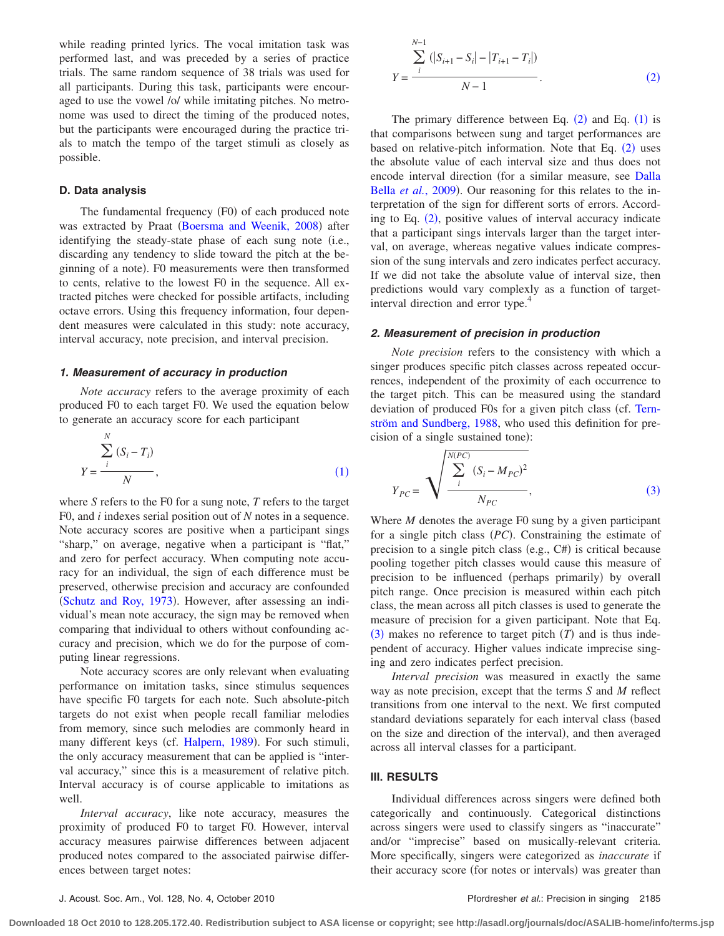while reading printed lyrics. The vocal imitation task was performed last, and was preceded by a series of practice trials. The same random sequence of 38 trials was used for all participants. During this task, participants were encouraged to use the vowel /o/ while imitating pitches. No metronome was used to direct the timing of the produced notes, but the participants were encouraged during the practice trials to match the tempo of the target stimuli as closely as possible.

# **D. Data analysis**

The fundamental frequency (F0) of each produced note was extracted by Praat ([Boersma and Weenik, 2008](#page-8-0)) after identifying the steady-state phase of each sung note (i.e., discarding any tendency to slide toward the pitch at the beginning of a note). F0 measurements were then transformed to cents, relative to the lowest F0 in the sequence. All extracted pitches were checked for possible artifacts, including octave errors. Using this frequency information, four dependent measures were calculated in this study: note accuracy, interval accuracy, note precision, and interval precision.

### *1. Measurement of accuracy in production*

*Note accuracy* refers to the average proximity of each produced F0 to each target F0. We used the equation below to generate an accuracy score for each participant

<span id="page-3-0"></span>
$$
Y = \frac{\sum_{i}^{N} (S_i - T_i)}{N},
$$
\n(1)

where *S* refers to the F0 for a sung note, *T* refers to the target F0, and *i* indexes serial position out of *N* notes in a sequence. Note accuracy scores are positive when a participant sings "sharp," on average, negative when a participant is "flat," and zero for perfect accuracy. When computing note accuracy for an individual, the sign of each difference must be preserved, otherwise precision and accuracy are confounded ([Schutz and Roy, 1973](#page-8-22)). However, after assessing an individual's mean note accuracy, the sign may be removed when comparing that individual to others without confounding accuracy and precision, which we do for the purpose of computing linear regressions.

Note accuracy scores are only relevant when evaluating performance on imitation tasks, since stimulus sequences have specific F0 targets for each note. Such absolute-pitch targets do not exist when people recall familiar melodies from memory, since such melodies are commonly heard in many different keys (cf. [Halpern, 1989](#page-8-23)). For such stimuli, the only accuracy measurement that can be applied is "interval accuracy," since this is a measurement of relative pitch. Interval accuracy is of course applicable to imitations as well.

*Interval accuracy*, like note accuracy, measures the proximity of produced F0 to target F0. However, interval accuracy measures pairwise differences between adjacent produced notes compared to the associated pairwise differences between target notes:

<span id="page-3-1"></span>
$$
Y = \frac{\sum_{i}^{N-1} (|S_{i+1} - S_i| - |T_{i+1} - T_i|)}{N-1}.
$$
 (2)

The primary difference between Eq.  $(2)$  $(2)$  $(2)$  and Eq.  $(1)$  $(1)$  $(1)$  is that comparisons between sung and target performances are based on relative-pitch information. Note that Eq. ([2](#page-3-1)) uses the absolute value of each interval size and thus does not encode interval direction (for a similar measure, see [Dalla](#page-8-16) Bella et al.[, 2009](#page-8-16)). Our reasoning for this relates to the interpretation of the sign for different sorts of errors. According to Eq.  $(2)$  $(2)$  $(2)$ , positive values of interval accuracy indicate that a participant sings intervals larger than the target interval, on average, whereas negative values indicate compression of the sung intervals and zero indicates perfect accuracy. If we did not take the absolute value of interval size, then predictions would vary complexly as a function of targetinterval direction and error type.<sup>4</sup>

#### *2. Measurement of precision in production*

*Note precision* refers to the consistency with which a singer produces specific pitch classes across repeated occurrences, independent of the proximity of each occurrence to the target pitch. This can be measured using the standard deviation of produced F0s for a given pitch class (cf. [Tern](#page-8-15)[ström and Sundberg, 1988,](#page-8-15) who used this definition for precision of a single sustained tone):

<span id="page-3-2"></span>
$$
Y_{PC} = \sqrt{\frac{\sum_{i}^{N(PC)} (S_i - M_{PC})^2}{N_{PC}}},
$$
\n(3)

Where *M* denotes the average F0 sung by a given participant for a single pitch class (PC). Constraining the estimate of precision to a single pitch class (e.g., C#) is critical because pooling together pitch classes would cause this measure of precision to be influenced (perhaps primarily) by overall pitch range. Once precision is measured within each pitch class, the mean across all pitch classes is used to generate the measure of precision for a given participant. Note that Eq.  $(3)$  $(3)$  $(3)$  makes no reference to target pitch  $(T)$  and is thus independent of accuracy. Higher values indicate imprecise singing and zero indicates perfect precision.

*Interval precision* was measured in exactly the same way as note precision, except that the terms *S* and *M* reflect transitions from one interval to the next. We first computed standard deviations separately for each interval class (based on the size and direction of the interval), and then averaged across all interval classes for a participant.

# **III. RESULTS**

Individual differences across singers were defined both categorically and continuously. Categorical distinctions across singers were used to classify singers as "inaccurate" and/or "imprecise" based on musically-relevant criteria. More specifically, singers were categorized as *inaccurate* if their accuracy score (for notes or intervals) was greater than

**Downloaded 18 Oct 2010 to 128.205.172.40. Redistribution subject to ASA license or copyright; see http://asadl.org/journals/doc/ASALIB-home/info/terms.jsp**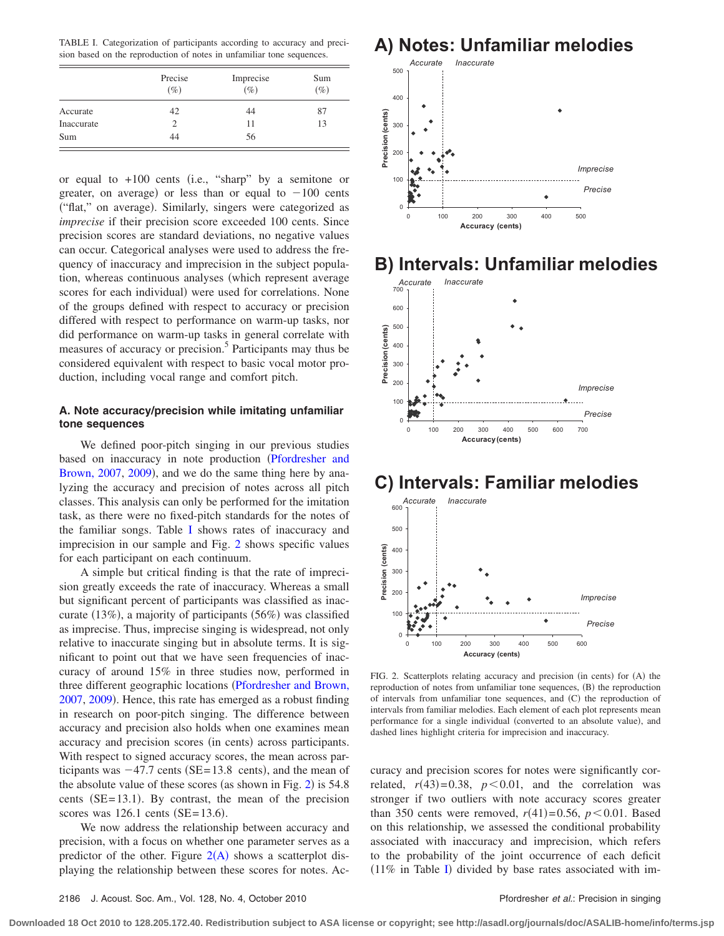<span id="page-4-0"></span>TABLE I. Categorization of participants according to accuracy and precision based on the reproduction of notes in unfamiliar tone sequences.

|            | Precise<br>$(\%)$ | Imprecise<br>$(\%)$ | Sum<br>$(\%)$ |
|------------|-------------------|---------------------|---------------|
| Accurate   | 42                | 44                  | 87            |
| Inaccurate | 2                 | 11                  | 13            |
| Sum        | 44                | 56                  |               |

or equal to  $+100$  cents (i.e., "sharp" by a semitone or greater, on average) or less than or equal to  $-100$  cents ("flat," on average). Similarly, singers were categorized as *imprecise* if their precision score exceeded 100 cents. Since precision scores are standard deviations, no negative values can occur. Categorical analyses were used to address the frequency of inaccuracy and imprecision in the subject population, whereas continuous analyses (which represent average scores for each individual) were used for correlations. None of the groups defined with respect to accuracy or precision differed with respect to performance on warm-up tasks, nor did performance on warm-up tasks in general correlate with measures of accuracy or precision.<sup>5</sup> Participants may thus be considered equivalent with respect to basic vocal motor production, including vocal range and comfort pitch.

# **A. Note accuracy/precision while imitating unfamiliar tone sequences**

We defined poor-pitch singing in our previous studies based on inaccuracy in note production ([Pfordresher and](#page-8-1) [Brown, 2007,](#page-8-1) [2009](#page-8-2)), and we do the same thing here by analyzing the accuracy and precision of notes across all pitch classes. This analysis can only be performed for the imitation task, as there were no fixed-pitch standards for the notes of the familiar songs. Table [I](#page-4-0) shows rates of inaccuracy and imprecision in our sample and Fig. [2](#page-4-1) shows specific values for each participant on each continuum.

A simple but critical finding is that the rate of imprecision greatly exceeds the rate of inaccuracy. Whereas a small but significant percent of participants was classified as inaccurate (13%), a majority of participants (56%) was classified as imprecise. Thus, imprecise singing is widespread, not only relative to inaccurate singing but in absolute terms. It is significant to point out that we have seen frequencies of inaccuracy of around 15% in three studies now, performed in three different geographic locations ([Pfordresher and Brown,](#page-8-1) [2007,](#page-8-1) [2009](#page-8-2)). Hence, this rate has emerged as a robust finding in research on poor-pitch singing. The difference between accuracy and precision also holds when one examines mean accuracy and precision scores (in cents) across participants. With respect to signed accuracy scores, the mean across participants was  $-47.7$  cents (SE=13.8 cents), and the mean of the absolute value of these scores (as shown in Fig.  $2$ ) is 54.8 cents  $(SE = 13.1)$ . By contrast, the mean of the precision scores was  $126.1$  cents (SE= $13.6$ ).

We now address the relationship between accuracy and precision, with a focus on whether one parameter serves as a predictor of the other. Figure  $2(A)$  $2(A)$  $2(A)$  shows a scatterplot displaying the relationship between these scores for notes. Ac-

<span id="page-4-1"></span>



# **B) Intervals: Unfamiliar melodies**



# **C) Intervals: Familiar melodies**



FIG. 2. Scatterplots relating accuracy and precision (in cents) for (A) the reproduction of notes from unfamiliar tone sequences, (B) the reproduction of intervals from unfamiliar tone sequences, and (C) the reproduction of intervals from familiar melodies. Each element of each plot represents mean performance for a single individual (converted to an absolute value), and dashed lines highlight criteria for imprecision and inaccuracy.

curacy and precision scores for notes were significantly correlated,  $r(43)=0.38$ ,  $p<0.01$ , and the correlation was stronger if two outliers with note accuracy scores greater than 350 cents were removed,  $r(41)=0.56$ ,  $p<0.01$ . Based on this relationship, we assessed the conditional probability associated with inaccuracy and imprecision, which refers to the probability of the joint occurrence of each deficit  $(11\%$  in Table [I](#page-4-0)) divided by base rates associated with im-

**Downloaded 18 Oct 2010 to 128.205.172.40. Redistribution subject to ASA license or copyright; see http://asadl.org/journals/doc/ASALIB-home/info/terms.jsp**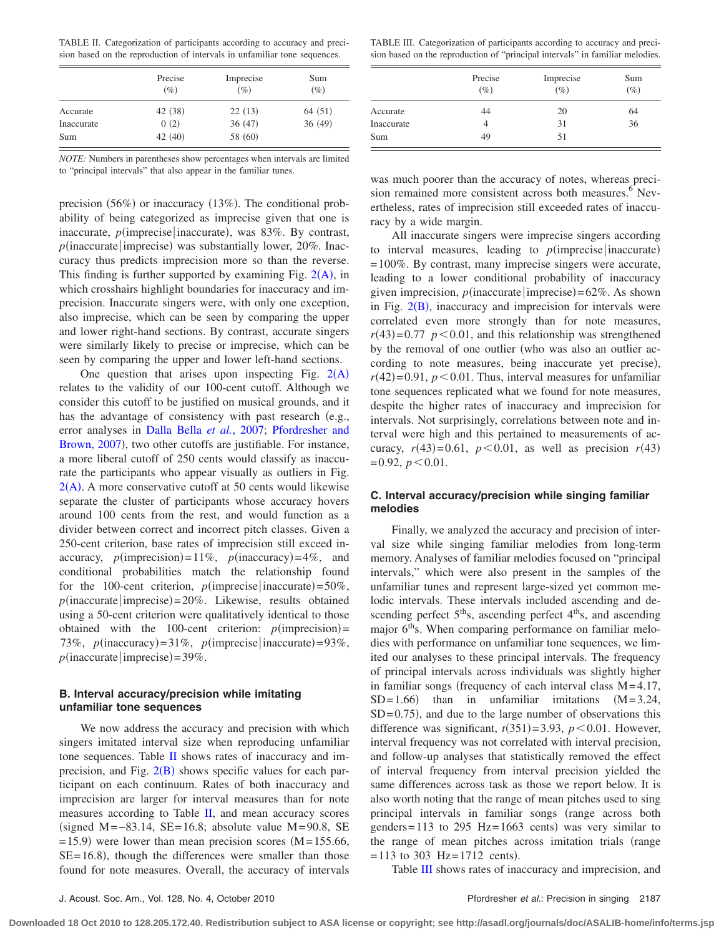<span id="page-5-0"></span>TABLE II. Categorization of participants according to accuracy and precision based on the reproduction of intervals in unfamiliar tone sequences.

|            | Precise<br>$(\%)$ | Imprecise<br>$(\%)$ | Sum<br>$(\%)$ |
|------------|-------------------|---------------------|---------------|
| Accurate   | 42 (38)           | 22(13)              | 64(51)        |
| Inaccurate | 0(2)              | 36(47)              | 36(49)        |
| Sum        | 42(40)            | 58 (60)             |               |

*NOTE:* Numbers in parentheses show percentages when intervals are limited to "principal intervals" that also appear in the familiar tunes.

precision (56%) or inaccuracy (13%). The conditional probability of being categorized as imprecise given that one is inaccurate, *p*(imprecise inaccurate), was 83%. By contrast,  $p$ (inaccurate imprecise) was substantially lower, 20%. Inaccuracy thus predicts imprecision more so than the reverse. This finding is further supported by examining Fig.  $2(A)$  $2(A)$  $2(A)$ , in which crosshairs highlight boundaries for inaccuracy and imprecision. Inaccurate singers were, with only one exception, also imprecise, which can be seen by comparing the upper and lower right-hand sections. By contrast, accurate singers were similarly likely to precise or imprecise, which can be seen by comparing the upper and lower left-hand sections.

One question that arises upon inspecting Fig.  $2(A)$  $2(A)$  $2(A)$ relates to the validity of our 100-cent cutoff. Although we consider this cutoff to be justified on musical grounds, and it has the advantage of consistency with past research (e.g., error analyses in [Dalla Bella](#page-8-3) *et al.*, 2007; [Pfordresher and](#page-8-1) [Brown, 2007](#page-8-1)), two other cutoffs are justifiable. For instance, a more liberal cutoff of 250 cents would classify as inaccurate the participants who appear visually as outliers in Fig.  $2(A)$  $2(A)$  $2(A)$ . A more conservative cutoff at 50 cents would likewise separate the cluster of participants whose accuracy hovers around 100 cents from the rest, and would function as a divider between correct and incorrect pitch classes. Given a 250-cent criterion, base rates of imprecision still exceed inaccuracy,  $p(\text{imprecision}) = 11\%, p(\text{inaccuracy}) = 4\%, \text{and}$ conditional probabilities match the relationship found for the 100-cent criterion,  $p(\text{imprecise}|\text{inaccurate}) = 50\%$ ,  $p(\text{inaccurate}|\text{imprecise}) = 20\%$ . Likewise, results obtained using a 50-cent criterion were qualitatively identical to those obtained with the 100-cent criterion:  $p(\text{imprecision}) =$ 73%,  $p(\text{inaccuracy}) = 31\%$ ,  $p(\text{imprecise}|\text{inaccurate}) = 93\%$ ,  $p(\text{inaccurate} | \text{imprecise}) = 39\%.$ 

# **B. Interval accuracy/precision while imitating unfamiliar tone sequences**

We now address the accuracy and precision with which singers imitated interval size when reproducing unfamiliar tone sequences. Table [II](#page-5-0) shows rates of inaccuracy and imprecision, and Fig.  $2(B)$  $2(B)$  $2(B)$  shows specific values for each participant on each continuum. Rates of both inaccuracy and imprecision are larger for interval measures than for note measures according to Table [II,](#page-5-0) and mean accuracy scores (signed M= $-83.14$ , SE= 16.8; absolute value M=90.8, SE  $= 15.9$ ) were lower than mean precision scores (M= 155.66,  $SE = 16.8$ ), though the differences were smaller than those found for note measures. Overall, the accuracy of intervals

<span id="page-5-1"></span>TABLE III. Categorization of participants according to accuracy and precision based on the reproduction of "principal intervals" in familiar melodies.

|            | Precise<br>$(\%)$ | Imprecise<br>$(\%)$ | Sum<br>$(\%)$ |
|------------|-------------------|---------------------|---------------|
| Accurate   | 44                | 20                  | 64            |
| Inaccurate |                   | 31                  | 36            |
| Sum        | 49                | 51                  |               |

was much poorer than the accuracy of notes, whereas precision remained more consistent across both measures.<sup>6</sup> Nevertheless, rates of imprecision still exceeded rates of inaccuracy by a wide margin.

All inaccurate singers were imprecise singers according to interval measures, leading to  $p$ (imprecise inaccurate) = 100%. By contrast, many imprecise singers were accurate, leading to a lower conditional probability of inaccuracy given imprecision,  $p$ (inaccurate imprecise) =  $62\%$ . As shown in Fig.  $2(B)$  $2(B)$  $2(B)$ , inaccuracy and imprecision for intervals were correlated even more strongly than for note measures,  $r(43)=0.77$   $p<0.01$ , and this relationship was strengthened by the removal of one outlier (who was also an outlier according to note measures, being inaccurate yet precise),  $r(42)=0.91$ ,  $p<0.01$ . Thus, interval measures for unfamiliar tone sequences replicated what we found for note measures, despite the higher rates of inaccuracy and imprecision for intervals. Not surprisingly, correlations between note and interval were high and this pertained to measurements of accuracy,  $r(43)=0.61$ ,  $p < 0.01$ , as well as precision  $r(43)$  $= 0.92, p < 0.01.$ 

# **C. Interval accuracy/precision while singing familiar melodies**

Finally, we analyzed the accuracy and precision of interval size while singing familiar melodies from long-term memory. Analyses of familiar melodies focused on "principal intervals," which were also present in the samples of the unfamiliar tunes and represent large-sized yet common melodic intervals. These intervals included ascending and descending perfect  $5<sup>th</sup>s$ , ascending perfect  $4<sup>th</sup>s$ , and ascending major  $6<sup>th</sup>$ s. When comparing performance on familiar melodies with performance on unfamiliar tone sequences, we limited our analyses to these principal intervals. The frequency of principal intervals across individuals was slightly higher in familiar songs (frequency of each interval class  $M = 4.17$ ,  $SD = 1.66$ than in unfamiliar imitations  $(M=3.24,$  $SD = 0.75$ ), and due to the large number of observations this difference was significant,  $t(351)=3.93$ ,  $p<0.01$ . However, interval frequency was not correlated with interval precision, and follow-up analyses that statistically removed the effect of interval frequency from interval precision yielded the same differences across task as those we report below. It is also worth noting that the range of mean pitches used to sing principal intervals in familiar songs (range across both genders= $113$  to 295 Hz= $1663$  cents) was very similar to the range of mean pitches across imitation trials (range  $= 113$  to 303 Hz=1712 cents).

Table [III](#page-5-1) shows rates of inaccuracy and imprecision, and

**Downloaded 18 Oct 2010 to 128.205.172.40. Redistribution subject to ASA license or copyright; see http://asadl.org/journals/doc/ASALIB-home/info/terms.jsp**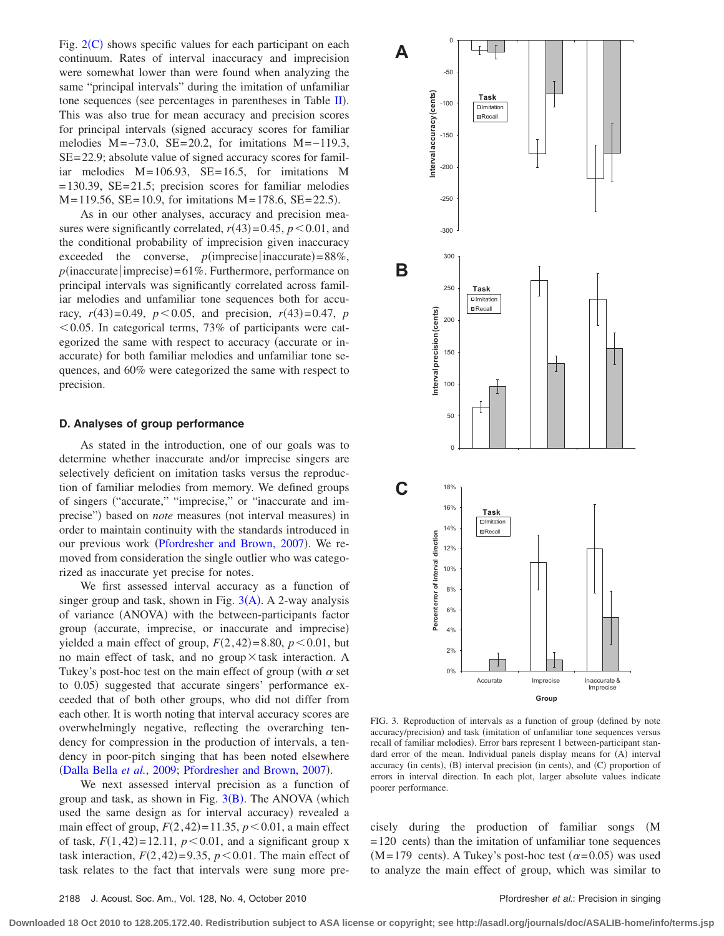Fig.  $2(C)$  $2(C)$  $2(C)$  shows specific values for each participant on each continuum. Rates of interval inaccuracy and imprecision were somewhat lower than were found when analyzing the same "principal intervals" during the imitation of unfamiliar tone sequences (see percentages in parentheses in Table [II](#page-5-0)). This was also true for mean accuracy and precision scores for principal intervals (signed accuracy scores for familiar melodies  $M=-73.0$ , SE=20.2, for imitations  $M=-119.3$ , SE= 22.9; absolute value of signed accuracy scores for familiar melodies  $M=106.93$ ,  $SE=16.5$ , for imitations M  $= 130.39$ , SE $= 21.5$ ; precision scores for familiar melodies  $M = 119.56$ ,  $SE = 10.9$ , for imitations  $M = 178.6$ ,  $SE = 22.5$ ).

As in our other analyses, accuracy and precision measures were significantly correlated,  $r(43)=0.45$ ,  $p<0.01$ , and the conditional probability of imprecision given inaccuracy exceeded the converse,  $p(\text{imprecise}|\text{inaccurate}) = 88\%,$  $p(\text{inaccurate} | \text{imprecise}) = 61\%$ . Furthermore, performance on principal intervals was significantly correlated across familiar melodies and unfamiliar tone sequences both for accuracy,  $r(43)=0.49$ ,  $p < 0.05$ , and precision,  $r(43)=0.47$ ,  $p$  $0.05$ . In categorical terms, 73% of participants were categorized the same with respect to accuracy (accurate or inaccurate) for both familiar melodies and unfamiliar tone sequences, and 60% were categorized the same with respect to precision.

# **D. Analyses of group performance**

As stated in the introduction, one of our goals was to determine whether inaccurate and/or imprecise singers are selectively deficient on imitation tasks versus the reproduction of familiar melodies from memory. We defined groups of singers ("accurate," "imprecise," or "inaccurate and imprecise") based on *note* measures (not interval measures) in order to maintain continuity with the standards introduced in our previous work ([Pfordresher and Brown, 2007](#page-8-1)). We removed from consideration the single outlier who was categorized as inaccurate yet precise for notes.

We first assessed interval accuracy as a function of singer group and task, shown in Fig.  $3(A)$  $3(A)$  $3(A)$ . A 2-way analysis of variance (ANOVA) with the between-participants factor group (accurate, imprecise, or inaccurate and imprecise) yielded a main effect of group,  $F(2, 42) = 8.80$ ,  $p < 0.01$ , but no main effect of task, and no group $\times$  task interaction. A Tukey's post-hoc test on the main effect of group (with  $\alpha$  set to 0.05) suggested that accurate singers' performance exceeded that of both other groups, who did not differ from each other. It is worth noting that interval accuracy scores are overwhelmingly negative, reflecting the overarching tendency for compression in the production of intervals, a tendency in poor-pitch singing that has been noted elsewhere ([Dalla Bella](#page-8-16) et al., 2009; [Pfordresher and Brown, 2007](#page-8-1)).

We next assessed interval precision as a function of group and task, as shown in Fig.  $3(B)$  $3(B)$  $3(B)$ . The ANOVA (which used the same design as for interval accuracy) revealed a main effect of group,  $F(2, 42) = 11.35$ ,  $p < 0.01$ , a main effect of task,  $F(1, 42) = 12.11$ ,  $p < 0.01$ , and a significant group x task interaction,  $F(2, 42) = 9.35$ ,  $p < 0.01$ . The main effect of task relates to the fact that intervals were sung more pre-

<span id="page-6-0"></span>

FIG. 3. Reproduction of intervals as a function of group (defined by note accuracy/precision) and task (imitation of unfamiliar tone sequences versus recall of familiar melodies). Error bars represent 1 between-participant standard error of the mean. Individual panels display means for (A) interval accuracy (in cents), (B) interval precision (in cents), and (C) proportion of errors in interval direction. In each plot, larger absolute values indicate poorer performance.

cisely during the production of familiar songs M  $= 120$  cents) than the imitation of unfamiliar tone sequences  $(M=179 \text{ cents})$ . A Tukey's post-hoc test  $(\alpha=0.05)$  was used to analyze the main effect of group, which was similar to

**Downloaded 18 Oct 2010 to 128.205.172.40. Redistribution subject to ASA license or copyright; see http://asadl.org/journals/doc/ASALIB-home/info/terms.jsp**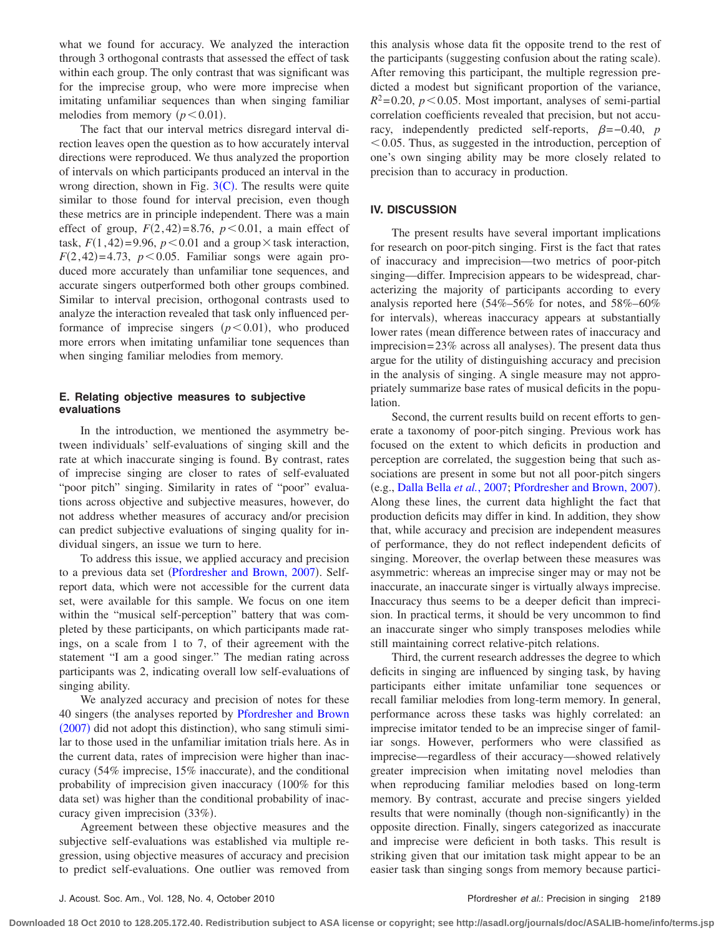what we found for accuracy. We analyzed the interaction through 3 orthogonal contrasts that assessed the effect of task within each group. The only contrast that was significant was for the imprecise group, who were more imprecise when imitating unfamiliar sequences than when singing familiar melodies from memory  $(p<0.01)$ .

The fact that our interval metrics disregard interval direction leaves open the question as to how accurately interval directions were reproduced. We thus analyzed the proportion of intervals on which participants produced an interval in the wrong direction, shown in Fig.  $3(C)$  $3(C)$  $3(C)$ . The results were quite similar to those found for interval precision, even though these metrics are in principle independent. There was a main effect of group,  $F(2, 42)=8.76$ ,  $p<0.01$ , a main effect of task,  $F(1, 42) = 9.96$ ,  $p < 0.01$  and a group  $\times$  task interaction,  $F(2, 42)=4.73$ ,  $p<0.05$ . Familiar songs were again produced more accurately than unfamiliar tone sequences, and accurate singers outperformed both other groups combined. Similar to interval precision, orthogonal contrasts used to analyze the interaction revealed that task only influenced performance of imprecise singers  $(p<0.01)$ , who produced more errors when imitating unfamiliar tone sequences than when singing familiar melodies from memory.

# **E. Relating objective measures to subjective evaluations**

In the introduction, we mentioned the asymmetry between individuals' self-evaluations of singing skill and the rate at which inaccurate singing is found. By contrast, rates of imprecise singing are closer to rates of self-evaluated "poor pitch" singing. Similarity in rates of "poor" evaluations across objective and subjective measures, however, do not address whether measures of accuracy and/or precision can predict subjective evaluations of singing quality for individual singers, an issue we turn to here.

To address this issue, we applied accuracy and precision to a previous data set ([Pfordresher and Brown, 2007](#page-8-1)). Selfreport data, which were not accessible for the current data set, were available for this sample. We focus on one item within the "musical self-perception" battery that was completed by these participants, on which participants made ratings, on a scale from 1 to 7, of their agreement with the statement "I am a good singer." The median rating across participants was 2, indicating overall low self-evaluations of singing ability.

We analyzed accuracy and precision of notes for these 40 singers (the analyses reported by [Pfordresher and Brown](#page-8-1) ([2007](#page-8-1)) did not adopt this distinction), who sang stimuli similar to those used in the unfamiliar imitation trials here. As in the current data, rates of imprecision were higher than inaccuracy (54% imprecise, 15% inaccurate), and the conditional probability of imprecision given inaccuracy 100% for this data set) was higher than the conditional probability of inaccuracy given imprecision (33%).

Agreement between these objective measures and the subjective self-evaluations was established via multiple regression, using objective measures of accuracy and precision to predict self-evaluations. One outlier was removed from this analysis whose data fit the opposite trend to the rest of the participants (suggesting confusion about the rating scale). After removing this participant, the multiple regression predicted a modest but significant proportion of the variance,  $R^2$ =0.20,  $p$  < 0.05. Most important, analyses of semi-partial correlation coefficients revealed that precision, but not accuracy, independently predicted self-reports,  $\beta = -0.40$ , *p*  $<$  0.05. Thus, as suggested in the introduction, perception of one's own singing ability may be more closely related to precision than to accuracy in production.

# **IV. DISCUSSION**

The present results have several important implications for research on poor-pitch singing. First is the fact that rates of inaccuracy and imprecision—two metrics of poor-pitch singing—differ. Imprecision appears to be widespread, characterizing the majority of participants according to every analysis reported here  $(54\% - 56\%$  for notes, and  $58\% - 60\%$ for intervals), whereas inaccuracy appears at substantially lower rates (mean difference between rates of inaccuracy and imprecision=23% across all analyses). The present data thus argue for the utility of distinguishing accuracy and precision in the analysis of singing. A single measure may not appropriately summarize base rates of musical deficits in the population.

Second, the current results build on recent efforts to generate a taxonomy of poor-pitch singing. Previous work has focused on the extent to which deficits in production and perception are correlated, the suggestion being that such associations are present in some but not all poor-pitch singers (e.g., [Dalla Bella](#page-8-3) et al., 2007; [Pfordresher and Brown, 2007](#page-8-1)). Along these lines, the current data highlight the fact that production deficits may differ in kind. In addition, they show that, while accuracy and precision are independent measures of performance, they do not reflect independent deficits of singing. Moreover, the overlap between these measures was asymmetric: whereas an imprecise singer may or may not be inaccurate, an inaccurate singer is virtually always imprecise. Inaccuracy thus seems to be a deeper deficit than imprecision. In practical terms, it should be very uncommon to find an inaccurate singer who simply transposes melodies while still maintaining correct relative-pitch relations.

Third, the current research addresses the degree to which deficits in singing are influenced by singing task, by having participants either imitate unfamiliar tone sequences or recall familiar melodies from long-term memory. In general, performance across these tasks was highly correlated: an imprecise imitator tended to be an imprecise singer of familiar songs. However, performers who were classified as imprecise—regardless of their accuracy—showed relatively greater imprecision when imitating novel melodies than when reproducing familiar melodies based on long-term memory. By contrast, accurate and precise singers yielded results that were nominally (though non-significantly) in the opposite direction. Finally, singers categorized as inaccurate and imprecise were deficient in both tasks. This result is striking given that our imitation task might appear to be an easier task than singing songs from memory because partici-

**Downloaded 18 Oct 2010 to 128.205.172.40. Redistribution subject to ASA license or copyright; see http://asadl.org/journals/doc/ASALIB-home/info/terms.jsp**